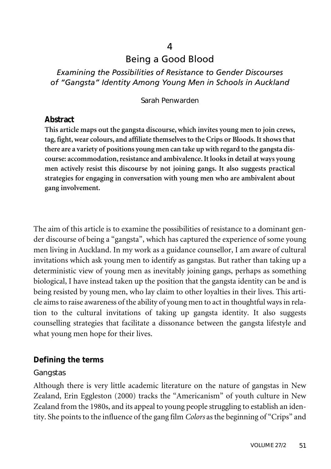# $\Delta$ Being a Good Blood

## *Examining the Possibilities of Resistance to Gender Discourses of "Gangsta" Identity Among Young Men in Schools in Auckland*

#### Sarah Penwarden

### **Abstract**

**This article maps out the gangsta discourse, which invites young men to join crews, tag, fight,wear colours, and affiliate themselves to the Crips or Bloods.It shows that there are a variety of positions young men can take up with regard to the gangsta discourse: accommodation,resistance and ambivalence.It looksin detail at ways young men actively resist this discourse by not joining gangs. It also suggests practical strategies for engaging in conversation with young men who are ambivalent about gang involvement.**

The aim of this article is to examine the possibilities of resistance to a dominant gender discourse of being a "gangsta", which has captured the experience of some young men living in Auckland. In my work as a guidance counsellor, I am aware of cultural invitations which ask young men to identify as gangstas. But rather than taking up a deterministic view of young men as inevitably joining gangs, perhaps as something biological, I have instead taken up the position that the gangsta identity can be and is being resisted by young men, who lay claim to other loyalties in their lives. This article aims to raise awareness of the ability of young men to act in thoughtful ways in relation to the cultural invitations of taking up gangsta identity. It also suggests counselling strategies that facilitate a dissonance between the gangsta lifestyle and what young men hope for their lives.

#### **Defining the terms**

#### Gangstas

Although there is very little academic literature on the nature of gangstas in New Zealand, Erin Eggleston (2000) tracks the "Americanism" of youth culture in New Zealand from the 1980s, and its appeal to young people struggling to establish an identity. She points to the influence of the gang film *Colors* as the beginning of "Crips" and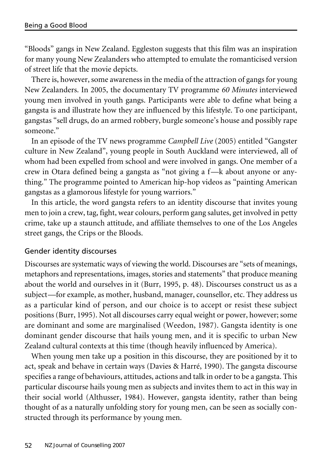"Bloods" gangs in New Zealand. Eggleston suggests that this film was an inspiration for many young New Zealanders who attempted to emulate the romanticised version of street life that the movie depicts.

There is, however, some awareness in the media of the attraction of gangs for young New Zealanders. In 2005, the documentary TV programme *60 Minutes* interviewed young men involved in youth gangs. Participants were able to define what being a gangsta is and illustrate how they are influenced by this lifestyle. To one participant, gangstas "sell drugs, do an armed robbery, burgle someone's house and possibly rape someone."

In an episode of the TV news programme *Campbell Live* (2005) entitled "Gangster culture in New Zealand", young people in South Auckland were interviewed, all of whom had been expelled from school and were involved in gangs. One member of a crew in Otara defined being a gangsta as "not giving a f—k about anyone or anything." The programme pointed to American hip-hop videos as "painting American gangstas as a glamorous lifestyle for young warriors."

In this article, the word gangsta refers to an identity discourse that invites young men to join a crew, tag, fight, wear colours, perform gang salutes, get involved in petty crime, take up a staunch attitude, and affiliate themselves to one of the Los Angeles street gangs, the Crips or the Bloods.

#### Gender identity discourses

Discourses are systematic ways of viewing the world. Discourses are "sets of meanings, metaphors and representations, images, stories and statements" that produce meaning about the world and ourselves in it (Burr, 1995, p. 48). Discourses construct us as a subject—for example, as mother, husband, manager, counsellor, etc. They address us as a particular kind of person, and our choice is to accept or resist these subject positions (Burr, 1995). Not all discourses carry equal weight or power, however; some are dominant and some are marginalised (Weedon, 1987). Gangsta identity is one dominant gender discourse that hails young men, and it is specific to urban New Zealand cultural contexts at this time (though heavily influenced by America).

When young men take up a position in this discourse, they are positioned by it to act, speak and behave in certain ways (Davies & Harré, 1990). The gangsta discourse specifies a range of behaviours, attitudes, actions and talk in order to be a gangsta. This particular discourse hails young men as subjects and invites them to act in this way in their social world (Althusser, 1984). However, gangsta identity, rather than being thought of as a naturally unfolding story for young men, can be seen as socially constructed through its performance by young men.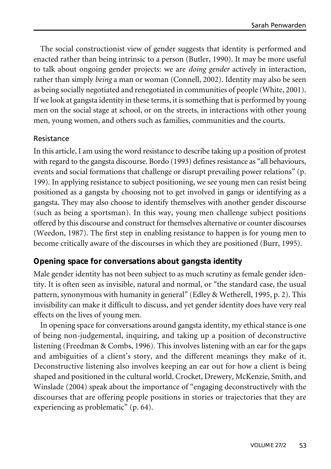The social constructionist view of gender suggests that identity is performed and enacted rather than being intrinsic to a person (Butler, 1990). It may be more useful to talk about ongoing gender projects: we are *doing gender* actively in interaction, rather than simply *being* a man or woman (Connell, 2002). Identity may also be seen as being socially negotiated and renegotiated in communities of people (White, 2001). If we look at gangsta identity in these terms, it is something that is performed by young men on the social stage at school, or on the streets, in interactions with other young men, young women, and others such as families, communities and the courts.

### Resistance

In this article, I am using the word resistance to describe taking up a position of protest with regard to the gangsta discourse. Bordo (1993) defines resistance as "all behaviours, events and social formations that challenge or disrupt prevailing power relations" (p. 199). In applying resistance to subject positioning, we see young men can resist being positioned as a gangsta by choosing not to get involved in gangs or identifying as a gangsta. They may also choose to identify themselves with another gender discourse (such as being a sportsman). In this way, young men challenge subject positions offered by this discourse and construct for themselves alternative or counter discourses (Weedon, 1987). The first step in enabling resistance to happen is for young men to become critically aware of the discourses in which they are positioned (Burr, 1995).

### **Opening space for conversations about gangsta identity**

Male gender identity has not been subject to as much scrutiny as female gender identity. It is often seen as invisible, natural and normal, or "the standard case, the usual pattern, synonymous with humanity in general" (Edley & Wetherell, 1995, p. 2). This invisibility can make it difficult to discuss, and yet gender identity does have very real effects on the lives of young men.

In opening space for conversations around gangsta identity, my ethical stance is one of being non-judgemental, inquiring, and taking up a position of deconstructive listening (Freedman & Combs, 1996). This involves listening with an ear for the gaps and ambiguities of a client's story, and the different meanings they make of it. Deconstructive listening also involves keeping an ear out for how a client is being shaped and positioned in the cultural world. Crocket, Drewery, McKenzie, Smith, and Winslade (2004) speak about the importance of "engaging deconstructively with the discourses that are offering people positions in stories or trajectories that they are experiencing as problematic" (p. 64).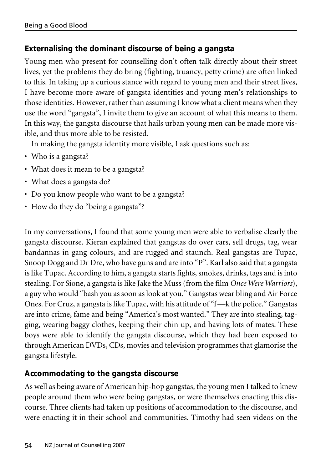## **Externalising the dominant discourse of being a gangsta**

Young men who present for counselling don't often talk directly about their street lives, yet the problems they do bring (fighting, truancy, petty crime) are often linked to this. In taking up a curious stance with regard to young men and their street lives, I have become more aware of gangsta identities and young men's relationships to those identities. However, rather than assuming I know what a client means when they use the word "gangsta", I invite them to give an account of what this means to them. In this way, the gangsta discourse that hails urban young men can be made more visible, and thus more able to be resisted.

In making the gangsta identity more visible, I ask questions such as:

- Who is a gangsta?
- What does it mean to be a gangsta?
- What does a gangsta do?
- Do you know people who want to be a gangsta?
- How do they do "being a gangsta"?

In my conversations, I found that some young men were able to verbalise clearly the gangsta discourse. Kieran explained that gangstas do over cars, sell drugs, tag, wear bandannas in gang colours, and are rugged and staunch. Real gangstas are Tupac, Snoop Dogg and Dr Dre, who have guns and are into "P". Karl also said that a gangsta is like Tupac. According to him, a gangsta starts fights, smokes, drinks, tags and is into stealing. For Sione, a gangsta is like Jake the Muss (from the film *Once Were Warriors*), a guy who would "bash you as soon as look at you." Gangstas wear bling and Air Force Ones. For Cruz, a gangsta is like Tupac, with his attitude of "f—k the police." Gangstas are into crime, fame and being "America's most wanted." They are into stealing, tagging, wearing baggy clothes, keeping their chin up, and having lots of mates. These boys were able to identify the gangsta discourse, which they had been exposed to through American DVDs, CDs, movies and television programmes that glamorise the gangsta lifestyle.

## **Accommodating to the gangsta discourse**

As well as being aware of American hip-hop gangstas, the young men I talked to knew people around them who were being gangstas, or were themselves enacting this discourse. Three clients had taken up positions of accommodation to the discourse, and were enacting it in their school and communities. Timothy had seen videos on the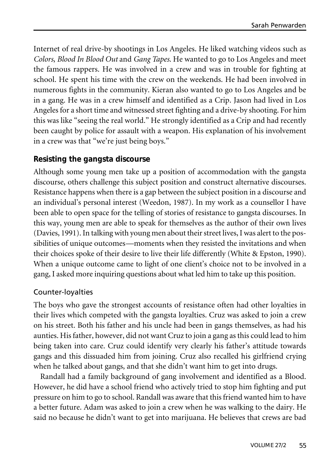Internet of real drive-by shootings in Los Angeles. He liked watching videos such as *Colors*, *Blood In Blood Out* and *Gang Tapes*. He wanted to go to Los Angeles and meet the famous rappers. He was involved in a crew and was in trouble for fighting at school. He spent his time with the crew on the weekends. He had been involved in numerous fights in the community. Kieran also wanted to go to Los Angeles and be in a gang. He was in a crew himself and identified as a Crip. Jason had lived in Los Angeles for a short time and witnessed street fighting and a drive-by shooting. For him this was like "seeing the real world." He strongly identified as a Crip and had recently been caught by police for assault with a weapon. His explanation of his involvement in a crew was that "we're just being boys."

## **Resisting the gangsta discourse**

Although some young men take up a position of accommodation with the gangsta discourse, others challenge this subject position and construct alternative discourses. Resistance happens when there is a gap between the subject position in a discourse and an individual's personal interest (Weedon, 1987). In my work as a counsellor I have been able to open space for the telling of stories of resistance to gangsta discourses. In this way, young men are able to speak for themselves as the author of their own lives (Davies, 1991). In talking with young men about their street lives, I was alert to the possibilities of unique outcomes—moments when they resisted the invitations and when their choices spoke of their desire to live their life differently (White & Epston, 1990). When a unique outcome came to light of one client's choice not to be involved in a gang, I asked more inquiring questions about what led him to take up this position.

## Counter-loyalties

The boys who gave the strongest accounts of resistance often had other loyalties in their lives which competed with the gangsta loyalties. Cruz was asked to join a crew on his street. Both his father and his uncle had been in gangs themselves, as had his aunties. His father, however, did not want Cruz to join a gang as this could lead to him being taken into care. Cruz could identify very clearly his father's attitude towards gangs and this dissuaded him from joining. Cruz also recalled his girlfriend crying when he talked about gangs, and that she didn't want him to get into drugs.

Randall had a family background of gang involvement and identified as a Blood. However, he did have a school friend who actively tried to stop him fighting and put pressure on him to go to school. Randall was aware that this friend wanted him to have a better future. Adam was asked to join a crew when he was walking to the dairy. He said no because he didn't want to get into marijuana. He believes that crews are bad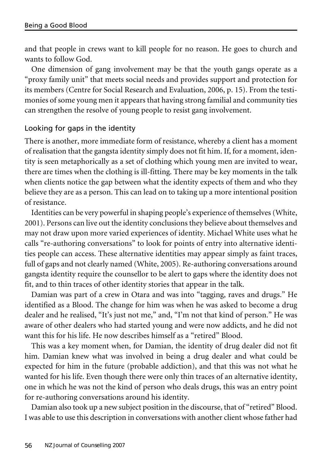and that people in crews want to kill people for no reason. He goes to church and wants to follow God.

One dimension of gang involvement may be that the youth gangs operate as a "proxy family unit" that meets social needs and provides support and protection for its members (Centre for Social Research and Evaluation, 2006, p. 15). From the testimonies of some young men it appears that having strong familial and community ties can strengthen the resolve of young people to resist gang involvement.

#### Looking for gaps in the identity

There is another, more immediate form of resistance, whereby a client has a moment of realisation that the gangsta identity simply does not fit him. If, for a moment, identity is seen metaphorically as a set of clothing which young men are invited to wear, there are times when the clothing is ill-fitting. There may be key moments in the talk when clients notice the gap between what the identity expects of them and who they believe they are as a person. This can lead on to taking up a more intentional position of resistance.

Identities can be very powerful in shaping people's experience of themselves(White, 2001). Persons can live out the identity conclusions they believe about themselves and may not draw upon more varied experiences of identity. Michael White uses what he calls "re-authoring conversations" to look for points of entry into alternative identities people can access. These alternative identities may appear simply as faint traces, full of gaps and not clearly named (White, 2005). Re-authoring conversations around gangsta identity require the counsellor to be alert to gaps where the identity does not fit, and to thin traces of other identity stories that appear in the talk.

Damian was part of a crew in Otara and was into "tagging, raves and drugs." He identified as a Blood. The change for him was when he was asked to become a drug dealer and he realised, "It's just not me," and, "I'm not that kind of person." He was aware of other dealers who had started young and were now addicts, and he did not want this for his life. He now describes himself as a "retired" Blood.

This was a key moment when, for Damian, the identity of drug dealer did not fit him. Damian knew what was involved in being a drug dealer and what could be expected for him in the future (probable addiction), and that this was not what he wanted for his life. Even though there were only thin traces of an alternative identity, one in which he was not the kind of person who deals drugs, this was an entry point for re-authoring conversations around his identity.

Damian also took up a new subject position in the discourse, that of "retired" Blood. I was able to use this description in conversations with another client whose father had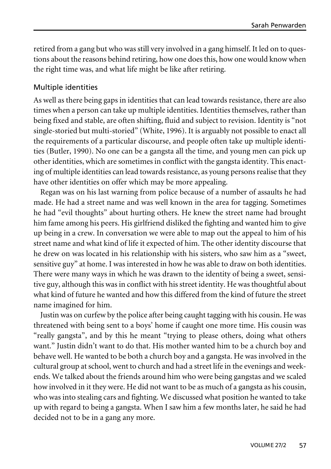retired from a gang but who was still very involved in a gang himself. It led on to questions about the reasons behind retiring, how one does this, how one would know when the right time was, and what life might be like after retiring.

### Multiple identities

As well as there being gaps in identities that can lead towards resistance, there are also times when a person can take up multiple identities. Identities themselves, rather than being fixed and stable, are often shifting, fluid and subject to revision. Identity is "not single-storied but multi-storied" (White, 1996). It is arguably not possible to enact all the requirements of a particular discourse, and people often take up multiple identities (Butler, 1990). No one can be a gangsta all the time, and young men can pick up other identities, which are sometimes in conflict with the gangsta identity. This enacting of multiple identities can lead towards resistance, as young persons realise that they have other identities on offer which may be more appealing.

Regan was on his last warning from police because of a number of assaults he had made. He had a street name and was well known in the area for tagging. Sometimes he had "evil thoughts" about hurting others. He knew the street name had brought him fame among his peers. His girlfriend disliked the fighting and wanted him to give up being in a crew. In conversation we were able to map out the appeal to him of his street name and what kind of life it expected of him. The other identity discourse that he drew on was located in his relationship with his sisters, who saw him as a "sweet, sensitive guy" at home. I was interested in how he was able to draw on both identities. There were many ways in which he was drawn to the identity of being a sweet, sensitive guy, although this was in conflict with his street identity. He was thoughtful about what kind of future he wanted and how this differed from the kind of future the street name imagined for him.

Justin was on curfew by the police after being caught tagging with his cousin. He was threatened with being sent to a boys' home if caught one more time. His cousin was "really gangsta", and by this he meant "trying to please others, doing what others want." Justin didn't want to do that. His mother wanted him to be a church boy and behave well. He wanted to be both a church boy and a gangsta. He was involved in the cultural group at school, went to church and had a street life in the evenings and weekends. We talked about the friends around him who were being gangstas and we scaled how involved in it they were. He did not want to be as much of a gangsta as his cousin, who was into stealing cars and fighting. We discussed what position he wanted to take up with regard to being a gangsta. When I saw him a few months later, he said he had decided not to be in a gang any more.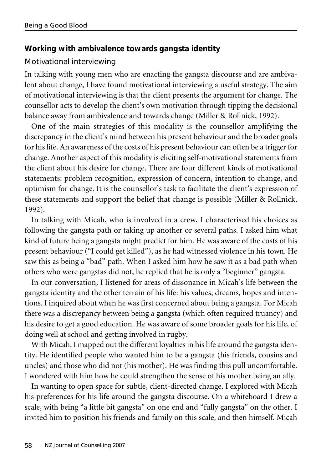## **Working with ambivalence towards gangsta identity**

### Motivational interviewing

In talking with young men who are enacting the gangsta discourse and are ambivalent about change, I have found motivational interviewing a useful strategy. The aim of motivational interviewing is that the client presents the argument for change. The counsellor acts to develop the client's own motivation through tipping the decisional balance away from ambivalence and towards change (Miller & Rollnick, 1992).

One of the main strategies of this modality is the counsellor amplifying the discrepancy in the client's mind between his present behaviour and the broader goals for his life. An awareness of the costs of his present behaviour can often be a trigger for change. Another aspect of this modality is eliciting self-motivational statements from the client about his desire for change. There are four different kinds of motivational statements: problem recognition, expression of concern, intention to change, and optimism for change. It is the counsellor's task to facilitate the client's expression of these statements and support the belief that change is possible (Miller & Rollnick, 1992).

In talking with Micah, who is involved in a crew, I characterised his choices as following the gangsta path or taking up another or several paths. I asked him what kind of future being a gangsta might predict for him. He was aware of the costs of his present behaviour ("I could get killed"), as he had witnessed violence in his town. He saw this as being a "bad" path. When I asked him how he saw it as a bad path when others who were gangstas did not, he replied that he is only a "beginner" gangsta.

In our conversation, I listened for areas of dissonance in Micah's life between the gangsta identity and the other terrain of his life: his values, dreams, hopes and intentions. I inquired about when he was first concerned about being a gangsta. For Micah there was a discrepancy between being a gangsta (which often required truancy) and his desire to get a good education. He was aware of some broader goals for his life, of doing well at school and getting involved in rugby.

With Micah, I mapped out the different loyalties in his life around the gangsta identity. He identified people who wanted him to be a gangsta (his friends, cousins and uncles) and those who did not (his mother). He was finding this pull uncomfortable. I wondered with him how he could strengthen the sense of his mother being an ally.

In wanting to open space for subtle, client-directed change, I explored with Micah his preferences for his life around the gangsta discourse. On a whiteboard I drew a scale, with being "a little bit gangsta" on one end and "fully gangsta" on the other. I invited him to position his friends and family on this scale, and then himself. Micah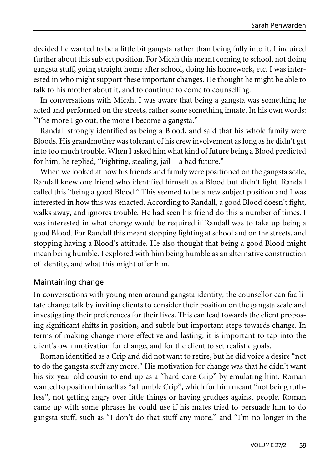decided he wanted to be a little bit gangsta rather than being fully into it. I inquired further about this subject position. For Micah this meant coming to school, not doing gangsta stuff, going straight home after school, doing his homework, etc. I was interested in who might support these important changes. He thought he might be able to talk to his mother about it, and to continue to come to counselling.

In conversations with Micah, I was aware that being a gangsta was something he acted and performed on the streets, rather some something innate. In his own words: "The more I go out, the more I become a gangsta."

Randall strongly identified as being a Blood, and said that his whole family were Bloods. His grandmother was tolerant of his crew involvement as long as he didn't get into too much trouble. When I asked him what kind of future being a Blood predicted for him, he replied, "Fighting, stealing, jail—a bad future."

When we looked at how his friends and family were positioned on the gangsta scale, Randall knew one friend who identified himself as a Blood but didn't fight. Randall called this "being a good Blood." This seemed to be a new subject position and I was interested in how this was enacted. According to Randall, a good Blood doesn't fight, walks away, and ignores trouble. He had seen his friend do this a number of times. I was interested in what change would be required if Randall was to take up being a good Blood. For Randall this meant stopping fighting at school and on the streets, and stopping having a Blood's attitude. He also thought that being a good Blood might mean being humble. I explored with him being humble as an alternative construction of identity, and what this might offer him.

#### Maintaining change

In conversations with young men around gangsta identity, the counsellor can facilitate change talk by inviting clients to consider their position on the gangsta scale and investigating their preferences for their lives. This can lead towards the client proposing significant shifts in position, and subtle but important steps towards change. In terms of making change more effective and lasting, it is important to tap into the client's own motivation for change, and for the client to set realistic goals.

Roman identified as a Crip and did not want to retire, but he did voice a desire "not to do the gangsta stuff any more." His motivation for change was that he didn't want his six-year-old cousin to end up as a "hard-core Crip" by emulating him. Roman wanted to position himself as "a humble Crip", which for him meant "not being ruthless", not getting angry over little things or having grudges against people. Roman came up with some phrases he could use if his mates tried to persuade him to do gangsta stuff, such as "I don't do that stuff any more," and "I'm no longer in the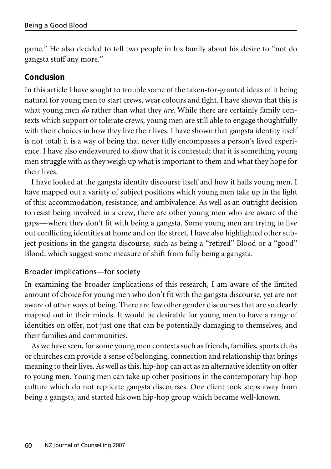game." He also decided to tell two people in his family about his desire to "not do gangsta stuff any more."

## **Conclusion**

In this article I have sought to trouble some of the taken-for-granted ideas of it being natural for young men to start crews, wear colours and fight. I have shown that this is what young men *do* rather than what they *are*. While there are certainly family contexts which support or tolerate crews, young men are still able to engage thoughtfully with their choices in how they live their lives. I have shown that gangsta identity itself is not total; it is a way of being that never fully encompasses a person's lived experience. I have also endeavoured to show that it is contested; that it is something young men struggle with as they weigh up what is important to them and what they hope for their lives.

I have looked at the gangsta identity discourse itself and how it hails young men. I have mapped out a variety of subject positions which young men take up in the light of this: accommodation, resistance, and ambivalence. As well as an outright decision to resist being involved in a crew, there are other young men who are aware of the gaps—where they don't fit with being a gangsta. Some young men are trying to live out conflicting identities at home and on the street. I have also highlighted other subject positions in the gangsta discourse, such as being a "retired" Blood or a "good" Blood, which suggest some measure of shift from fully being a gangsta.

## Broader implications—for society

In examining the broader implications of this research, I am aware of the limited amount of choice for young men who don't fit with the gangsta discourse, yet are not aware of other ways of being. There are few other gender discourses that are so clearly mapped out in their minds. It would be desirable for young men to have a range of identities on offer, not just one that can be potentially damaging to themselves, and their families and communities.

As we have seen, for some young men contexts such as friends, families, sports clubs or churches can provide a sense of belonging, connection and relationship that brings meaning to their lives. As well as this, hip-hop can act as an alternative identity on offer to young men. Young men can take up other positions in the contemporary hip-hop culture which do not replicate gangsta discourses. One client took steps away from being a gangsta, and started his own hip-hop group which became well-known.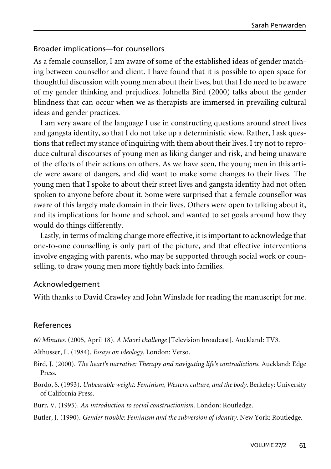#### Broader implications—for counsellors

As a female counsellor, I am aware of some of the established ideas of gender matching between counsellor and client. I have found that it is possible to open space for thoughtful discussion with young men about their lives, but that I do need to be aware of my gender thinking and prejudices. Johnella Bird (2000) talks about the gender blindness that can occur when we as therapists are immersed in prevailing cultural ideas and gender practices.

I am very aware of the language I use in constructing questions around street lives and gangsta identity, so that I do not take up a deterministic view. Rather, I ask questions that reflect my stance of inquiring with them about their lives. I try not to reproduce cultural discourses of young men as liking danger and risk, and being unaware of the effects of their actions on others. As we have seen, the young men in this article were aware of dangers, and did want to make some changes to their lives. The young men that I spoke to about their street lives and gangsta identity had not often spoken to anyone before about it. Some were surprised that a female counsellor was aware of this largely male domain in their lives. Others were open to talking about it, and its implications for home and school, and wanted to set goals around how they would do things differently.

Lastly, in terms of making change more effective, it is important to acknowledge that one-to-one counselling is only part of the picture, and that effective interventions involve engaging with parents, who may be supported through social work or counselling, to draw young men more tightly back into families.

#### Acknowledgement

With thanks to David Crawley and John Winslade for reading the manuscript for me.

#### References

*60 Minutes*. (2005, April 18). *A Maori challenge* [Television broadcast]. Auckland: TV3.

Althusser, L. (1984). *Essays on ideology*. London: Verso.

Bird, J. (2000). *The heart's narrative: Therapy and navigating life's contradictions*. Auckland: Edge Press.

Bordo, S.(1993). *Unbearable weight: Feminism,Western culture, and the body*. Berkeley: University of California Press.

Burr, V. (1995). *An introduction to social constructionism*. London: Routledge.

Butler, J. (1990). *Gender trouble: Feminism and the subversion of identity*. New York: Routledge.